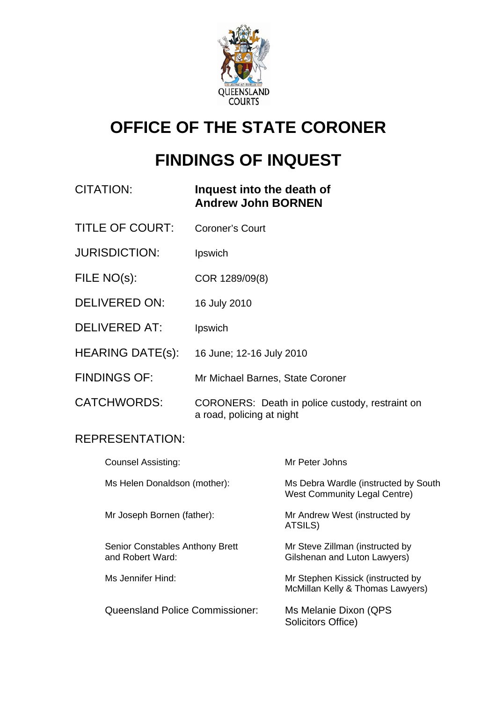

# **OFFICE OF THE STATE CORONER**

# **FINDINGS OF INQUEST**

| CITATION: | Inquest into the death of |
|-----------|---------------------------|
|           | <b>Andrew John BORNEN</b> |

- TITLE OF COURT: Coroner's Court
- JURISDICTION: Ipswich
- FILE NO(s): COR 1289/09(8)
- DELIVERED ON: 16 July 2010
- DELIVERED AT: Ipswich
- HEARING DATE(s): 16 June; 12-16 July 2010
- FINDINGS OF: Mr Michael Barnes, State Coroner
- CATCHWORDS: CORONERS: Death in police custody, restraint on a road, policing at night

### REPRESENTATION:

| <b>Counsel Assisting:</b>                                  |                                        | Mr Peter Johns                                                              |
|------------------------------------------------------------|----------------------------------------|-----------------------------------------------------------------------------|
| Ms Helen Donaldson (mother):                               |                                        | Ms Debra Wardle (instructed by South<br><b>West Community Legal Centre)</b> |
| Mr Joseph Bornen (father):                                 |                                        | Mr Andrew West (instructed by<br>ATSILS)                                    |
| <b>Senior Constables Anthony Brett</b><br>and Robert Ward: |                                        | Mr Steve Zillman (instructed by<br>Gilshenan and Luton Lawyers)             |
| Ms Jennifer Hind:                                          |                                        | Mr Stephen Kissick (instructed by<br>McMillan Kelly & Thomas Lawyers)       |
|                                                            | <b>Queensland Police Commissioner:</b> | Ms Melanie Dixon (QPS<br>Solicitors Office)                                 |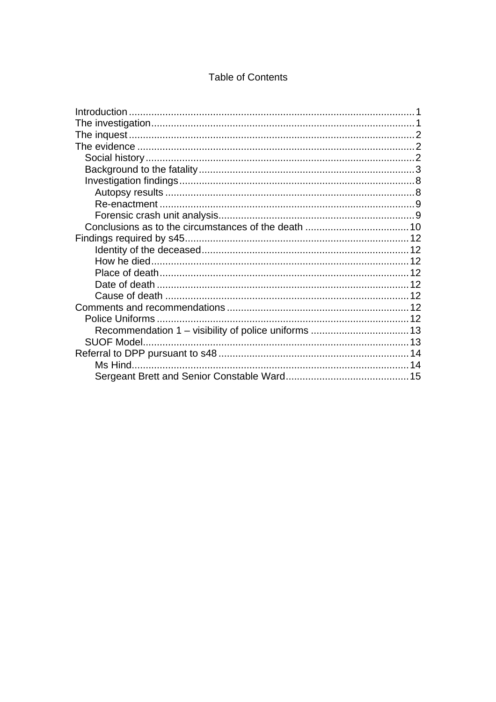### **Table of Contents**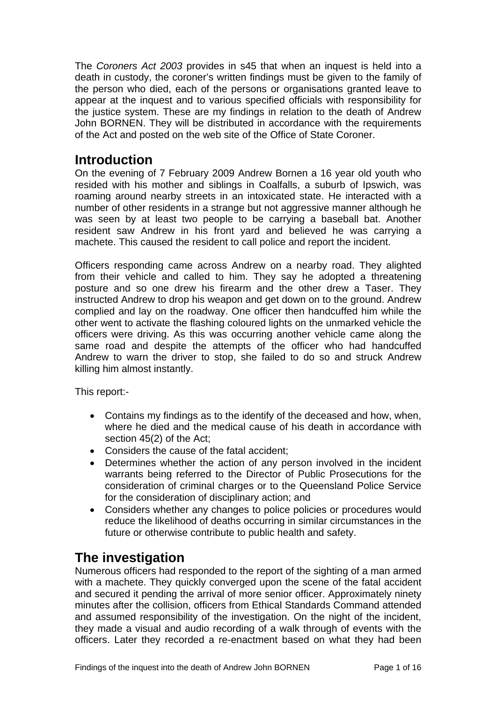<span id="page-2-0"></span>The *Coroners Act 2003* provides in s45 that when an inquest is held into a death in custody, the coroner's written findings must be given to the family of the person who died, each of the persons or organisations granted leave to appear at the inquest and to various specified officials with responsibility for the justice system. These are my findings in relation to the death of Andrew John BORNEN. They will be distributed in accordance with the requirements of the Act and posted on the web site of the Office of State Coroner.

# **Introduction**

On the evening of 7 February 2009 Andrew Bornen a 16 year old youth who resided with his mother and siblings in Coalfalls, a suburb of Ipswich, was roaming around nearby streets in an intoxicated state. He interacted with a number of other residents in a strange but not aggressive manner although he was seen by at least two people to be carrying a baseball bat. Another resident saw Andrew in his front yard and believed he was carrying a machete. This caused the resident to call police and report the incident.

Officers responding came across Andrew on a nearby road. They alighted from their vehicle and called to him. They say he adopted a threatening posture and so one drew his firearm and the other drew a Taser. They instructed Andrew to drop his weapon and get down on to the ground. Andrew complied and lay on the roadway. One officer then handcuffed him while the other went to activate the flashing coloured lights on the unmarked vehicle the officers were driving. As this was occurring another vehicle came along the same road and despite the attempts of the officer who had handcuffed Andrew to warn the driver to stop, she failed to do so and struck Andrew killing him almost instantly.

This report:-

- Contains my findings as to the identify of the deceased and how, when, where he died and the medical cause of his death in accordance with section 45(2) of the Act;
- Considers the cause of the fatal accident;
- Determines whether the action of any person involved in the incident warrants being referred to the Director of Public Prosecutions for the consideration of criminal charges or to the Queensland Police Service for the consideration of disciplinary action; and
- Considers whether any changes to police policies or procedures would reduce the likelihood of deaths occurring in similar circumstances in the future or otherwise contribute to public health and safety.

# **The investigation**

Numerous officers had responded to the report of the sighting of a man armed with a machete. They quickly converged upon the scene of the fatal accident and secured it pending the arrival of more senior officer. Approximately ninety minutes after the collision, officers from Ethical Standards Command attended and assumed responsibility of the investigation. On the night of the incident, they made a visual and audio recording of a walk through of events with the officers. Later they recorded a re-enactment based on what they had been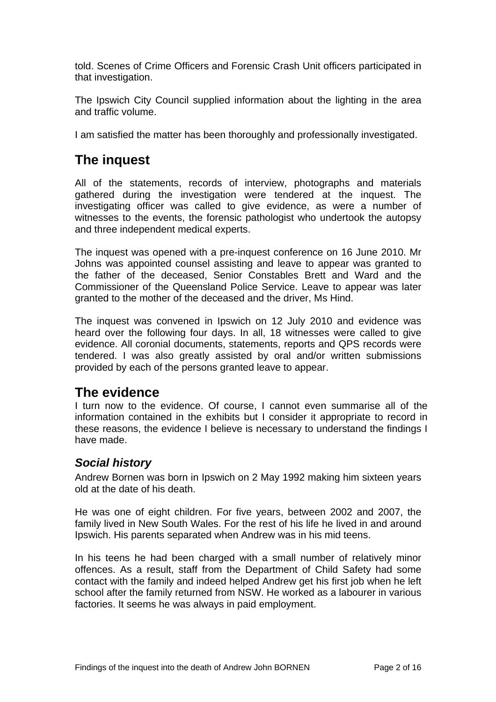<span id="page-3-0"></span>told. Scenes of Crime Officers and Forensic Crash Unit officers participated in that investigation.

The Ipswich City Council supplied information about the lighting in the area and traffic volume.

I am satisfied the matter has been thoroughly and professionally investigated.

# **The inquest**

All of the statements, records of interview, photographs and materials gathered during the investigation were tendered at the inquest. The investigating officer was called to give evidence, as were a number of witnesses to the events, the forensic pathologist who undertook the autopsy and three independent medical experts.

The inquest was opened with a pre-inquest conference on 16 June 2010. Mr Johns was appointed counsel assisting and leave to appear was granted to the father of the deceased, Senior Constables Brett and Ward and the Commissioner of the Queensland Police Service. Leave to appear was later granted to the mother of the deceased and the driver, Ms Hind.

The inquest was convened in Ipswich on 12 July 2010 and evidence was heard over the following four days. In all, 18 witnesses were called to give evidence. All coronial documents, statements, reports and QPS records were tendered. I was also greatly assisted by oral and/or written submissions provided by each of the persons granted leave to appear.

# **The evidence**

I turn now to the evidence. Of course, I cannot even summarise all of the information contained in the exhibits but I consider it appropriate to record in these reasons, the evidence I believe is necessary to understand the findings I have made.

### *Social history*

Andrew Bornen was born in Ipswich on 2 May 1992 making him sixteen years old at the date of his death.

He was one of eight children. For five years, between 2002 and 2007, the family lived in New South Wales. For the rest of his life he lived in and around Ipswich. His parents separated when Andrew was in his mid teens.

In his teens he had been charged with a small number of relatively minor offences. As a result, staff from the Department of Child Safety had some contact with the family and indeed helped Andrew get his first job when he left school after the family returned from NSW. He worked as a labourer in various factories. It seems he was always in paid employment.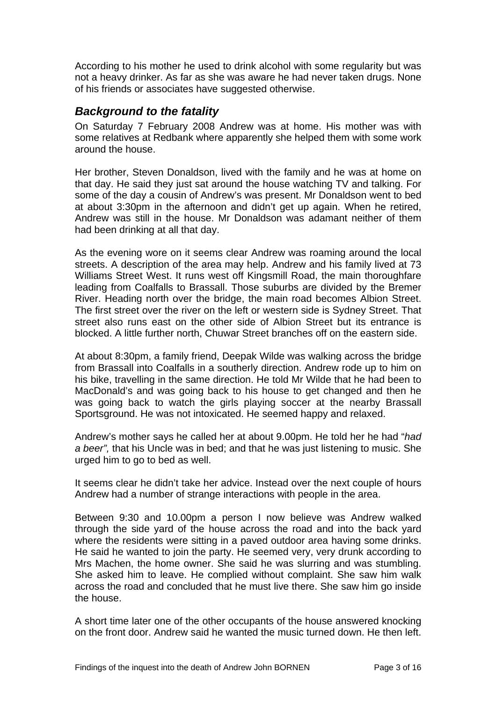<span id="page-4-0"></span>According to his mother he used to drink alcohol with some regularity but was not a heavy drinker. As far as she was aware he had never taken drugs. None of his friends or associates have suggested otherwise.

### *Background to the fatality*

On Saturday 7 February 2008 Andrew was at home. His mother was with some relatives at Redbank where apparently she helped them with some work around the house.

Her brother, Steven Donaldson, lived with the family and he was at home on that day. He said they just sat around the house watching TV and talking. For some of the day a cousin of Andrew's was present. Mr Donaldson went to bed at about 3:30pm in the afternoon and didn't get up again. When he retired, Andrew was still in the house. Mr Donaldson was adamant neither of them had been drinking at all that day.

As the evening wore on it seems clear Andrew was roaming around the local streets. A description of the area may help. Andrew and his family lived at 73 Williams Street West. It runs west off Kingsmill Road, the main thoroughfare leading from Coalfalls to Brassall. Those suburbs are divided by the Bremer River. Heading north over the bridge, the main road becomes Albion Street. The first street over the river on the left or western side is Sydney Street. That street also runs east on the other side of Albion Street but its entrance is blocked. A little further north, Chuwar Street branches off on the eastern side.

At about 8:30pm, a family friend, Deepak Wilde was walking across the bridge from Brassall into Coalfalls in a southerly direction. Andrew rode up to him on his bike, travelling in the same direction. He told Mr Wilde that he had been to MacDonald's and was going back to his house to get changed and then he was going back to watch the girls playing soccer at the nearby Brassall Sportsground. He was not intoxicated. He seemed happy and relaxed.

Andrew's mother says he called her at about 9.00pm. He told her he had "*had a beer",* that his Uncle was in bed; and that he was just listening to music. She urged him to go to bed as well.

It seems clear he didn't take her advice. Instead over the next couple of hours Andrew had a number of strange interactions with people in the area.

Between 9:30 and 10.00pm a person I now believe was Andrew walked through the side yard of the house across the road and into the back yard where the residents were sitting in a paved outdoor area having some drinks. He said he wanted to join the party. He seemed very, very drunk according to Mrs Machen, the home owner. She said he was slurring and was stumbling. She asked him to leave. He complied without complaint. She saw him walk across the road and concluded that he must live there. She saw him go inside the house.

A short time later one of the other occupants of the house answered knocking on the front door. Andrew said he wanted the music turned down. He then left.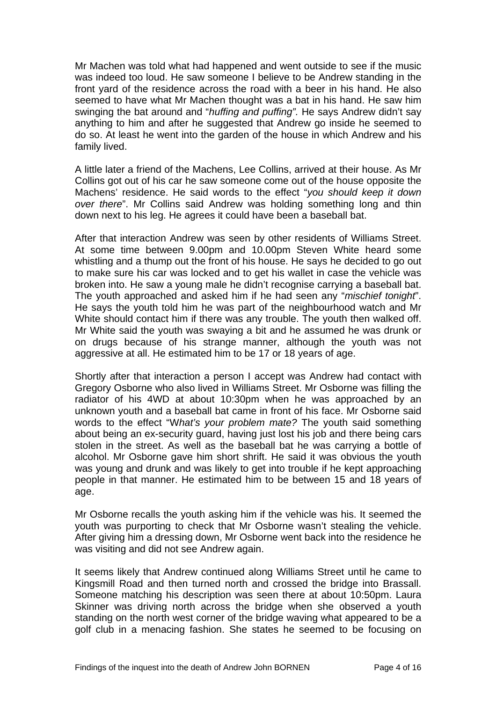Mr Machen was told what had happened and went outside to see if the music was indeed too loud. He saw someone I believe to be Andrew standing in the front yard of the residence across the road with a beer in his hand. He also seemed to have what Mr Machen thought was a bat in his hand. He saw him swinging the bat around and "*huffing and puffing".* He says Andrew didn't say anything to him and after he suggested that Andrew go inside he seemed to do so. At least he went into the garden of the house in which Andrew and his family lived.

A little later a friend of the Machens, Lee Collins, arrived at their house. As Mr Collins got out of his car he saw someone come out of the house opposite the Machens' residence. He said words to the effect "*you should keep it down over there*". Mr Collins said Andrew was holding something long and thin down next to his leg. He agrees it could have been a baseball bat.

After that interaction Andrew was seen by other residents of Williams Street. At some time between 9.00pm and 10.00pm Steven White heard some whistling and a thump out the front of his house. He says he decided to go out to make sure his car was locked and to get his wallet in case the vehicle was broken into. He saw a young male he didn't recognise carrying a baseball bat. The youth approached and asked him if he had seen any "*mischief tonight*". He says the youth told him he was part of the neighbourhood watch and Mr White should contact him if there was any trouble. The youth then walked off. Mr White said the youth was swaying a bit and he assumed he was drunk or on drugs because of his strange manner, although the youth was not aggressive at all. He estimated him to be 17 or 18 years of age.

Shortly after that interaction a person I accept was Andrew had contact with Gregory Osborne who also lived in Williams Street. Mr Osborne was filling the radiator of his 4WD at about 10:30pm when he was approached by an unknown youth and a baseball bat came in front of his face. Mr Osborne said words to the effect "W*hat's your problem mate?* The youth said something about being an ex-security guard, having just lost his job and there being cars stolen in the street. As well as the baseball bat he was carrying a bottle of alcohol. Mr Osborne gave him short shrift. He said it was obvious the youth was young and drunk and was likely to get into trouble if he kept approaching people in that manner. He estimated him to be between 15 and 18 years of age.

Mr Osborne recalls the youth asking him if the vehicle was his. It seemed the youth was purporting to check that Mr Osborne wasn't stealing the vehicle. After giving him a dressing down, Mr Osborne went back into the residence he was visiting and did not see Andrew again.

It seems likely that Andrew continued along Williams Street until he came to Kingsmill Road and then turned north and crossed the bridge into Brassall. Someone matching his description was seen there at about 10:50pm. Laura Skinner was driving north across the bridge when she observed a youth standing on the north west corner of the bridge waving what appeared to be a golf club in a menacing fashion. She states he seemed to be focusing on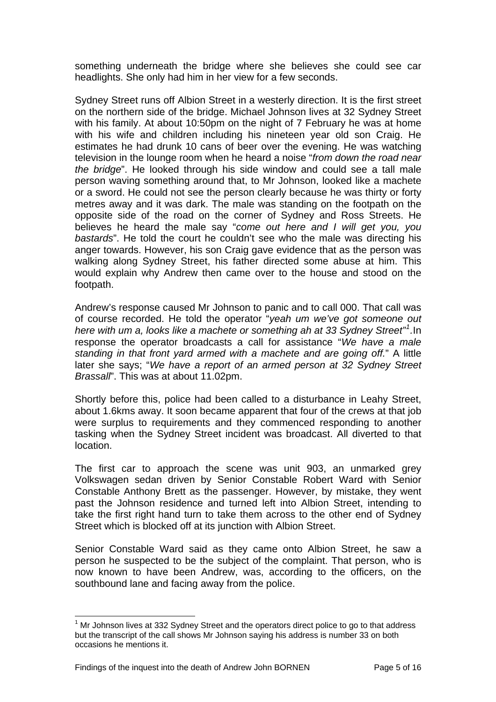something underneath the bridge where she believes she could see car headlights. She only had him in her view for a few seconds.

Sydney Street runs off Albion Street in a westerly direction. It is the first street on the northern side of the bridge. Michael Johnson lives at 32 Sydney Street with his family. At about 10:50pm on the night of 7 February he was at home with his wife and children including his nineteen year old son Craig. He estimates he had drunk 10 cans of beer over the evening. He was watching television in the lounge room when he heard a noise "*from down the road near the bridge*". He looked through his side window and could see a tall male person waving something around that, to Mr Johnson, looked like a machete or a sword. He could not see the person clearly because he was thirty or forty metres away and it was dark. The male was standing on the footpath on the opposite side of the road on the corner of Sydney and Ross Streets. He believes he heard the male say "*come out here and I will get you, you bastards*". He told the court he couldn't see who the male was directing his anger towards. However, his son Craig gave evidence that as the person was walking along Sydney Street, his father directed some abuse at him. This would explain why Andrew then came over to the house and stood on the footpath.

Andrew's response caused Mr Johnson to panic and to call 000. That call was of course recorded. He told the operator "*yeah um we've got someone out here with um a, looks like a machete or something ah at 33 Sydney Street"[1](#page-6-0) .*In response the operator broadcasts a call for assistance "*We have a male standing in that front yard armed with a machete and are going off.*" A little later she says; "*We have a report of an armed person at 32 Sydney Street Brassall*". This was at about 11.02pm.

Shortly before this, police had been called to a disturbance in Leahy Street, about 1.6kms away. It soon became apparent that four of the crews at that job were surplus to requirements and they commenced responding to another tasking when the Sydney Street incident was broadcast. All diverted to that location.

The first car to approach the scene was unit 903, an unmarked grey Volkswagen sedan driven by Senior Constable Robert Ward with Senior Constable Anthony Brett as the passenger. However, by mistake, they went past the Johnson residence and turned left into Albion Street, intending to take the first right hand turn to take them across to the other end of Sydney Street which is blocked off at its junction with Albion Street.

Senior Constable Ward said as they came onto Albion Street, he saw a person he suspected to be the subject of the complaint. That person, who is now known to have been Andrew, was, according to the officers, on the southbound lane and facing away from the police.

<span id="page-6-0"></span>l  $1$  Mr Johnson lives at 332 Sydney Street and the operators direct police to go to that address but the transcript of the call shows Mr Johnson saying his address is number 33 on both occasions he mentions it.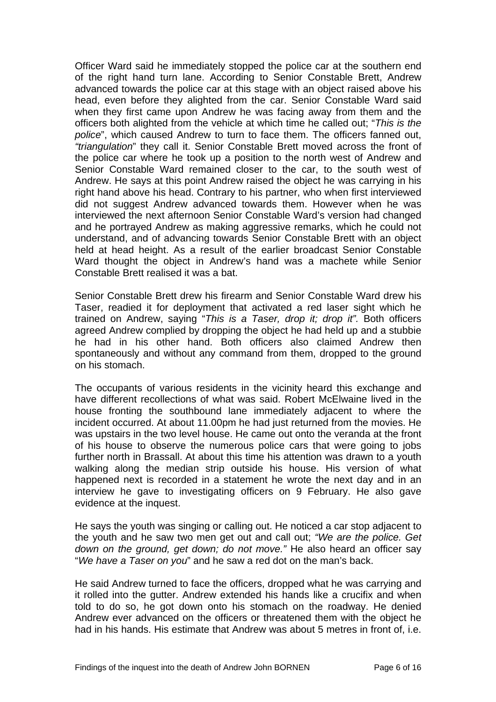Officer Ward said he immediately stopped the police car at the southern end of the right hand turn lane. According to Senior Constable Brett, Andrew advanced towards the police car at this stage with an object raised above his head, even before they alighted from the car. Senior Constable Ward said when they first came upon Andrew he was facing away from them and the officers both alighted from the vehicle at which time he called out; "*This is the police*", which caused Andrew to turn to face them. The officers fanned out, *"triangulation*" they call it. Senior Constable Brett moved across the front of the police car where he took up a position to the north west of Andrew and Senior Constable Ward remained closer to the car, to the south west of Andrew. He says at this point Andrew raised the object he was carrying in his right hand above his head. Contrary to his partner, who when first interviewed did not suggest Andrew advanced towards them. However when he was interviewed the next afternoon Senior Constable Ward's version had changed and he portrayed Andrew as making aggressive remarks, which he could not understand, and of advancing towards Senior Constable Brett with an object held at head height. As a result of the earlier broadcast Senior Constable Ward thought the object in Andrew's hand was a machete while Senior Constable Brett realised it was a bat.

Senior Constable Brett drew his firearm and Senior Constable Ward drew his Taser, readied it for deployment that activated a red laser sight which he trained on Andrew, saying "*This is a Taser, drop it; drop it".* Both officers agreed Andrew complied by dropping the object he had held up and a stubbie he had in his other hand. Both officers also claimed Andrew then spontaneously and without any command from them, dropped to the ground on his stomach.

The occupants of various residents in the vicinity heard this exchange and have different recollections of what was said. Robert McElwaine lived in the house fronting the southbound lane immediately adjacent to where the incident occurred. At about 11.00pm he had just returned from the movies. He was upstairs in the two level house. He came out onto the veranda at the front of his house to observe the numerous police cars that were going to jobs further north in Brassall. At about this time his attention was drawn to a youth walking along the median strip outside his house. His version of what happened next is recorded in a statement he wrote the next day and in an interview he gave to investigating officers on 9 February. He also gave evidence at the inquest.

He says the youth was singing or calling out. He noticed a car stop adjacent to the youth and he saw two men get out and call out; *"We are the police. Get down on the ground, get down; do not move."* He also heard an officer say "*We have a Taser on you*" and he saw a red dot on the man's back.

He said Andrew turned to face the officers, dropped what he was carrying and it rolled into the gutter. Andrew extended his hands like a crucifix and when told to do so, he got down onto his stomach on the roadway. He denied Andrew ever advanced on the officers or threatened them with the object he had in his hands. His estimate that Andrew was about 5 metres in front of, i.e.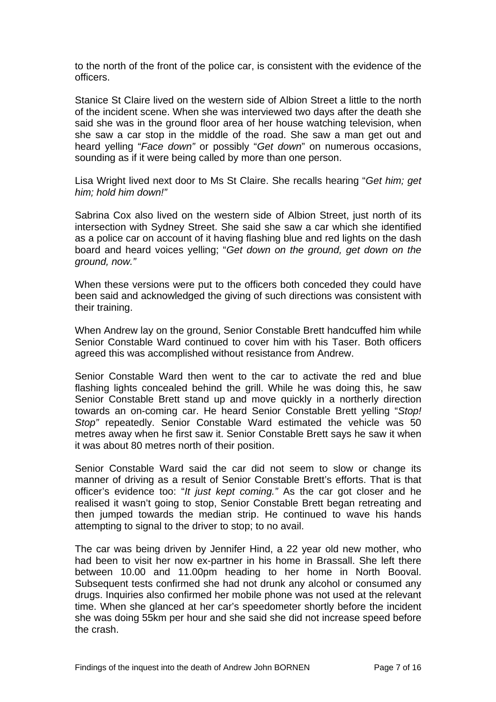to the north of the front of the police car, is consistent with the evidence of the officers.

Stanice St Claire lived on the western side of Albion Street a little to the north of the incident scene. When she was interviewed two days after the death she said she was in the ground floor area of her house watching television, when she saw a car stop in the middle of the road. She saw a man get out and heard yelling "*Face down"* or possibly "*Get down*" on numerous occasions, sounding as if it were being called by more than one person.

Lisa Wright lived next door to Ms St Claire. She recalls hearing "*Get him; get him; hold him down!"*

Sabrina Cox also lived on the western side of Albion Street, just north of its intersection with Sydney Street. She said she saw a car which she identified as a police car on account of it having flashing blue and red lights on the dash board and heard voices yelling; "*Get down on the ground, get down on the ground, now."* 

When these versions were put to the officers both conceded they could have been said and acknowledged the giving of such directions was consistent with their training.

When Andrew lay on the ground, Senior Constable Brett handcuffed him while Senior Constable Ward continued to cover him with his Taser. Both officers agreed this was accomplished without resistance from Andrew.

Senior Constable Ward then went to the car to activate the red and blue flashing lights concealed behind the grill. While he was doing this, he saw Senior Constable Brett stand up and move quickly in a northerly direction towards an on-coming car. He heard Senior Constable Brett yelling "*Stop! Stop"* repeatedly. Senior Constable Ward estimated the vehicle was 50 metres away when he first saw it. Senior Constable Brett says he saw it when it was about 80 metres north of their position.

Senior Constable Ward said the car did not seem to slow or change its manner of driving as a result of Senior Constable Brett's efforts. That is that officer's evidence too: "*It just kept coming."* As the car got closer and he realised it wasn't going to stop, Senior Constable Brett began retreating and then jumped towards the median strip. He continued to wave his hands attempting to signal to the driver to stop; to no avail.

The car was being driven by Jennifer Hind, a 22 year old new mother, who had been to visit her now ex-partner in his home in Brassall. She left there between 10.00 and 11.00pm heading to her home in North Booval. Subsequent tests confirmed she had not drunk any alcohol or consumed any drugs. Inquiries also confirmed her mobile phone was not used at the relevant time. When she glanced at her car's speedometer shortly before the incident she was doing 55km per hour and she said she did not increase speed before the crash.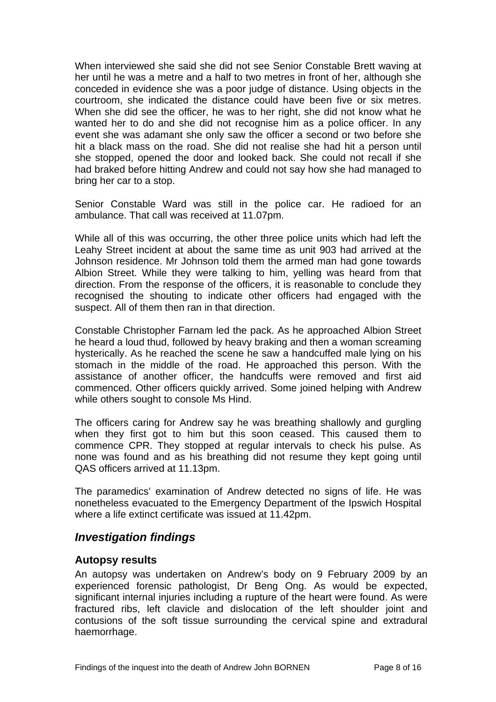<span id="page-9-0"></span>When interviewed she said she did not see Senior Constable Brett waving at her until he was a metre and a half to two metres in front of her, although she conceded in evidence she was a poor judge of distance. Using objects in the courtroom, she indicated the distance could have been five or six metres. When she did see the officer, he was to her right, she did not know what he wanted her to do and she did not recognise him as a police officer. In any event she was adamant she only saw the officer a second or two before she hit a black mass on the road. She did not realise she had hit a person until she stopped, opened the door and looked back. She could not recall if she had braked before hitting Andrew and could not say how she had managed to bring her car to a stop.

Senior Constable Ward was still in the police car. He radioed for an ambulance. That call was received at 11.07pm.

While all of this was occurring, the other three police units which had left the Leahy Street incident at about the same time as unit 903 had arrived at the Johnson residence. Mr Johnson told them the armed man had gone towards Albion Street. While they were talking to him, yelling was heard from that direction. From the response of the officers, it is reasonable to conclude they recognised the shouting to indicate other officers had engaged with the suspect. All of them then ran in that direction.

Constable Christopher Farnam led the pack. As he approached Albion Street he heard a loud thud, followed by heavy braking and then a woman screaming hysterically. As he reached the scene he saw a handcuffed male lying on his stomach in the middle of the road. He approached this person. With the assistance of another officer, the handcuffs were removed and first aid commenced. Other officers quickly arrived. Some joined helping with Andrew while others sought to console Ms Hind.

The officers caring for Andrew say he was breathing shallowly and gurgling when they first got to him but this soon ceased. This caused them to commence CPR. They stopped at regular intervals to check his pulse. As none was found and as his breathing did not resume they kept going until QAS officers arrived at 11.13pm.

The paramedics' examination of Andrew detected no signs of life. He was nonetheless evacuated to the Emergency Department of the Ipswich Hospital where a life extinct certificate was issued at 11.42pm.

#### *Investigation findings*

#### **Autopsy results**

An autopsy was undertaken on Andrew's body on 9 February 2009 by an experienced forensic pathologist, Dr Beng Ong. As would be expected, significant internal injuries including a rupture of the heart were found. As were fractured ribs, left clavicle and dislocation of the left shoulder joint and contusions of the soft tissue surrounding the cervical spine and extradural haemorrhage.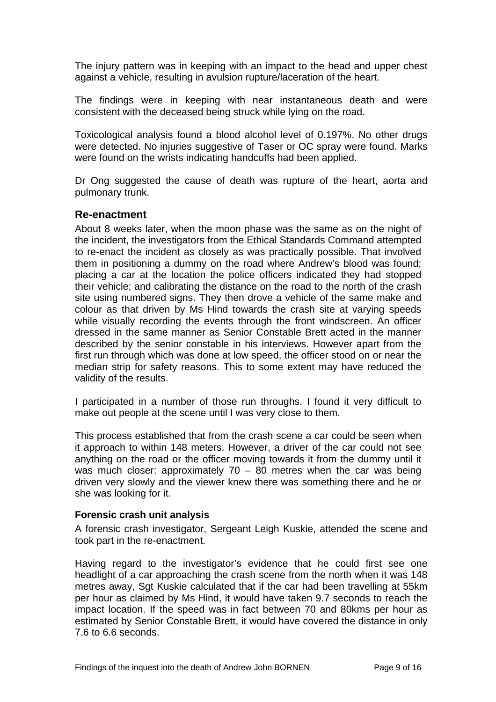<span id="page-10-0"></span>The injury pattern was in keeping with an impact to the head and upper chest against a vehicle, resulting in avulsion rupture/laceration of the heart.

The findings were in keeping with near instantaneous death and were consistent with the deceased being struck while lying on the road.

Toxicological analysis found a blood alcohol level of 0.197%. No other drugs were detected. No injuries suggestive of Taser or OC spray were found. Marks were found on the wrists indicating handcuffs had been applied.

Dr Ong suggested the cause of death was rupture of the heart, aorta and pulmonary trunk.

#### **Re-enactment**

About 8 weeks later, when the moon phase was the same as on the night of the incident, the investigators from the Ethical Standards Command attempted to re-enact the incident as closely as was practically possible. That involved them in positioning a dummy on the road where Andrew's blood was found; placing a car at the location the police officers indicated they had stopped their vehicle; and calibrating the distance on the road to the north of the crash site using numbered signs. They then drove a vehicle of the same make and colour as that driven by Ms Hind towards the crash site at varying speeds while visually recording the events through the front windscreen. An officer dressed in the same manner as Senior Constable Brett acted in the manner described by the senior constable in his interviews. However apart from the first run through which was done at low speed, the officer stood on or near the median strip for safety reasons. This to some extent may have reduced the validity of the results.

I participated in a number of those run throughs. I found it very difficult to make out people at the scene until I was very close to them.

This process established that from the crash scene a car could be seen when it approach to within 148 meters. However, a driver of the car could not see anything on the road or the officer moving towards it from the dummy until it was much closer: approximately  $70 - 80$  metres when the car was being driven very slowly and the viewer knew there was something there and he or she was looking for it.

#### **Forensic crash unit analysis**

A forensic crash investigator, Sergeant Leigh Kuskie, attended the scene and took part in the re-enactment.

Having regard to the investigator's evidence that he could first see one headlight of a car approaching the crash scene from the north when it was 148 metres away, Sgt Kuskie calculated that if the car had been travelling at 55km per hour as claimed by Ms Hind, it would have taken 9.7 seconds to reach the impact location. If the speed was in fact between 70 and 80kms per hour as estimated by Senior Constable Brett, it would have covered the distance in only 7.6 to 6.6 seconds.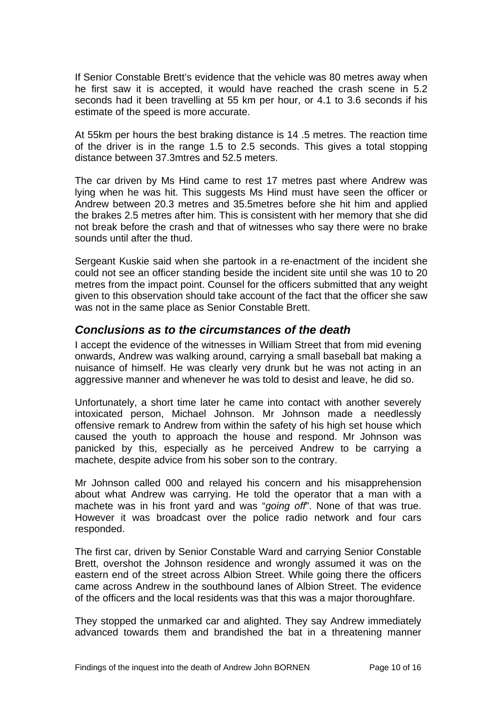<span id="page-11-0"></span>If Senior Constable Brett's evidence that the vehicle was 80 metres away when he first saw it is accepted, it would have reached the crash scene in 5.2 seconds had it been travelling at 55 km per hour, or 4.1 to 3.6 seconds if his estimate of the speed is more accurate.

At 55km per hours the best braking distance is 14 .5 metres. The reaction time of the driver is in the range 1.5 to 2.5 seconds. This gives a total stopping distance between 37.3mtres and 52.5 meters.

The car driven by Ms Hind came to rest 17 metres past where Andrew was lying when he was hit. This suggests Ms Hind must have seen the officer or Andrew between 20.3 metres and 35.5metres before she hit him and applied the brakes 2.5 metres after him. This is consistent with her memory that she did not break before the crash and that of witnesses who say there were no brake sounds until after the thud.

Sergeant Kuskie said when she partook in a re-enactment of the incident she could not see an officer standing beside the incident site until she was 10 to 20 metres from the impact point. Counsel for the officers submitted that any weight given to this observation should take account of the fact that the officer she saw was not in the same place as Senior Constable Brett.

### *Conclusions as to the circumstances of the death*

I accept the evidence of the witnesses in William Street that from mid evening onwards, Andrew was walking around, carrying a small baseball bat making a nuisance of himself. He was clearly very drunk but he was not acting in an aggressive manner and whenever he was told to desist and leave, he did so.

Unfortunately, a short time later he came into contact with another severely intoxicated person, Michael Johnson. Mr Johnson made a needlessly offensive remark to Andrew from within the safety of his high set house which caused the youth to approach the house and respond. Mr Johnson was panicked by this, especially as he perceived Andrew to be carrying a machete, despite advice from his sober son to the contrary.

Mr Johnson called 000 and relayed his concern and his misapprehension about what Andrew was carrying. He told the operator that a man with a machete was in his front yard and was "*going off*". None of that was true. However it was broadcast over the police radio network and four cars responded.

The first car, driven by Senior Constable Ward and carrying Senior Constable Brett, overshot the Johnson residence and wrongly assumed it was on the eastern end of the street across Albion Street. While going there the officers came across Andrew in the southbound lanes of Albion Street. The evidence of the officers and the local residents was that this was a major thoroughfare.

They stopped the unmarked car and alighted. They say Andrew immediately advanced towards them and brandished the bat in a threatening manner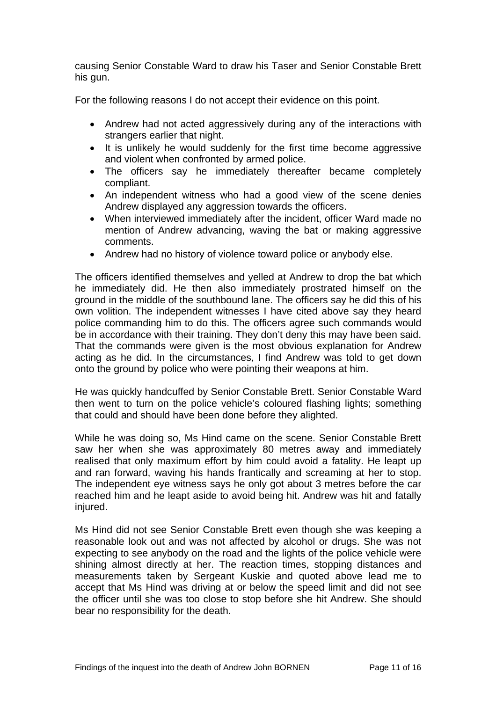causing Senior Constable Ward to draw his Taser and Senior Constable Brett his gun.

For the following reasons I do not accept their evidence on this point.

- Andrew had not acted aggressively during any of the interactions with strangers earlier that night.
- It is unlikely he would suddenly for the first time become aggressive and violent when confronted by armed police.
- The officers say he immediately thereafter became completely compliant.
- An independent witness who had a good view of the scene denies Andrew displayed any aggression towards the officers.
- When interviewed immediately after the incident, officer Ward made no mention of Andrew advancing, waving the bat or making aggressive comments.
- Andrew had no history of violence toward police or anybody else.

The officers identified themselves and yelled at Andrew to drop the bat which he immediately did. He then also immediately prostrated himself on the ground in the middle of the southbound lane. The officers say he did this of his own volition. The independent witnesses I have cited above say they heard police commanding him to do this. The officers agree such commands would be in accordance with their training. They don't deny this may have been said. That the commands were given is the most obvious explanation for Andrew acting as he did. In the circumstances, I find Andrew was told to get down onto the ground by police who were pointing their weapons at him.

He was quickly handcuffed by Senior Constable Brett. Senior Constable Ward then went to turn on the police vehicle's coloured flashing lights; something that could and should have been done before they alighted.

While he was doing so, Ms Hind came on the scene. Senior Constable Brett saw her when she was approximately 80 metres away and immediately realised that only maximum effort by him could avoid a fatality. He leapt up and ran forward, waving his hands frantically and screaming at her to stop. The independent eye witness says he only got about 3 metres before the car reached him and he leapt aside to avoid being hit. Andrew was hit and fatally injured.

Ms Hind did not see Senior Constable Brett even though she was keeping a reasonable look out and was not affected by alcohol or drugs. She was not expecting to see anybody on the road and the lights of the police vehicle were shining almost directly at her. The reaction times, stopping distances and measurements taken by Sergeant Kuskie and quoted above lead me to accept that Ms Hind was driving at or below the speed limit and did not see the officer until she was too close to stop before she hit Andrew. She should bear no responsibility for the death.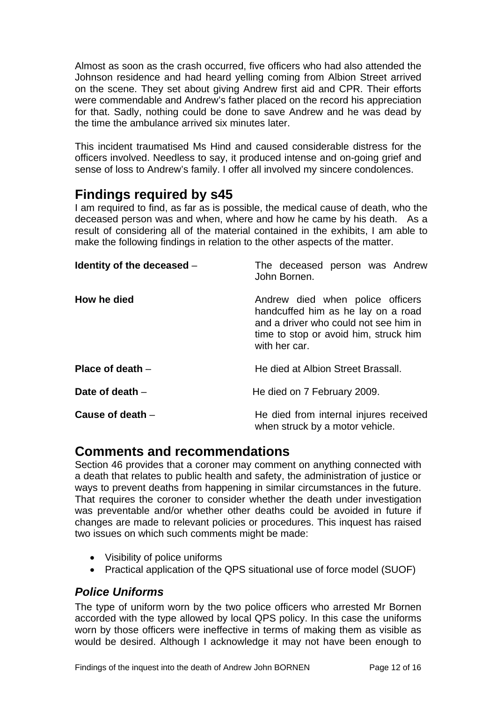<span id="page-13-0"></span>Almost as soon as the crash occurred, five officers who had also attended the Johnson residence and had heard yelling coming from Albion Street arrived on the scene. They set about giving Andrew first aid and CPR. Their efforts were commendable and Andrew's father placed on the record his appreciation for that. Sadly, nothing could be done to save Andrew and he was dead by the time the ambulance arrived six minutes later.

This incident traumatised Ms Hind and caused considerable distress for the officers involved. Needless to say, it produced intense and on-going grief and sense of loss to Andrew's family. I offer all involved my sincere condolences.

# **Findings required by s45**

I am required to find, as far as is possible, the medical cause of death, who the deceased person was and when, where and how he came by his death. As a result of considering all of the material contained in the exhibits, I am able to make the following findings in relation to the other aspects of the matter.

| Identity of the deceased $-$ | The deceased person was Andrew<br>John Bornen.                                                                                                                            |
|------------------------------|---------------------------------------------------------------------------------------------------------------------------------------------------------------------------|
| How he died                  | Andrew died when police officers<br>handcuffed him as he lay on a road<br>and a driver who could not see him in<br>time to stop or avoid him, struck him<br>with her car. |
| Place of death $-$           | He died at Albion Street Brassall.                                                                                                                                        |
| Date of death $-$            | He died on 7 February 2009.                                                                                                                                               |
| Cause of death $-$           | He died from internal injures received<br>when struck by a motor vehicle.                                                                                                 |

# **Comments and recommendations**

Section 46 provides that a coroner may comment on anything connected with a death that relates to public health and safety, the administration of justice or ways to prevent deaths from happening in similar circumstances in the future. That requires the coroner to consider whether the death under investigation was preventable and/or whether other deaths could be avoided in future if changes are made to relevant policies or procedures. This inquest has raised two issues on which such comments might be made:

- Visibility of police uniforms
- Practical application of the QPS situational use of force model (SUOF)

### *Police Uniforms*

The type of uniform worn by the two police officers who arrested Mr Bornen accorded with the type allowed by local QPS policy. In this case the uniforms worn by those officers were ineffective in terms of making them as visible as would be desired. Although I acknowledge it may not have been enough to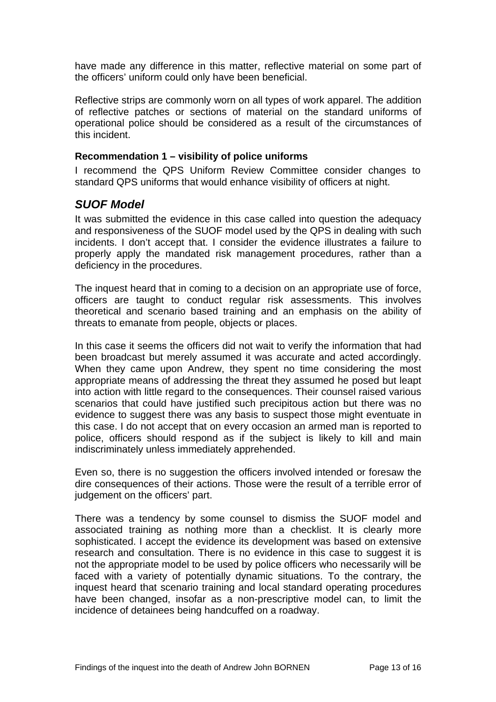<span id="page-14-0"></span>have made any difference in this matter, reflective material on some part of the officers' uniform could only have been beneficial.

Reflective strips are commonly worn on all types of work apparel. The addition of reflective patches or sections of material on the standard uniforms of operational police should be considered as a result of the circumstances of this incident.

#### **Recommendation 1 – visibility of police uniforms**

I recommend the QPS Uniform Review Committee consider changes to standard QPS uniforms that would enhance visibility of officers at night.

### *SUOF Model*

It was submitted the evidence in this case called into question the adequacy and responsiveness of the SUOF model used by the QPS in dealing with such incidents. I don't accept that. I consider the evidence illustrates a failure to properly apply the mandated risk management procedures, rather than a deficiency in the procedures.

The inquest heard that in coming to a decision on an appropriate use of force, officers are taught to conduct regular risk assessments. This involves theoretical and scenario based training and an emphasis on the ability of threats to emanate from people, objects or places.

In this case it seems the officers did not wait to verify the information that had been broadcast but merely assumed it was accurate and acted accordingly. When they came upon Andrew, they spent no time considering the most appropriate means of addressing the threat they assumed he posed but leapt into action with little regard to the consequences. Their counsel raised various scenarios that could have justified such precipitous action but there was no evidence to suggest there was any basis to suspect those might eventuate in this case. I do not accept that on every occasion an armed man is reported to police, officers should respond as if the subject is likely to kill and main indiscriminately unless immediately apprehended.

Even so, there is no suggestion the officers involved intended or foresaw the dire consequences of their actions. Those were the result of a terrible error of judgement on the officers' part.

There was a tendency by some counsel to dismiss the SUOF model and associated training as nothing more than a checklist. It is clearly more sophisticated. I accept the evidence its development was based on extensive research and consultation. There is no evidence in this case to suggest it is not the appropriate model to be used by police officers who necessarily will be faced with a variety of potentially dynamic situations. To the contrary, the inquest heard that scenario training and local standard operating procedures have been changed, insofar as a non-prescriptive model can, to limit the incidence of detainees being handcuffed on a roadway.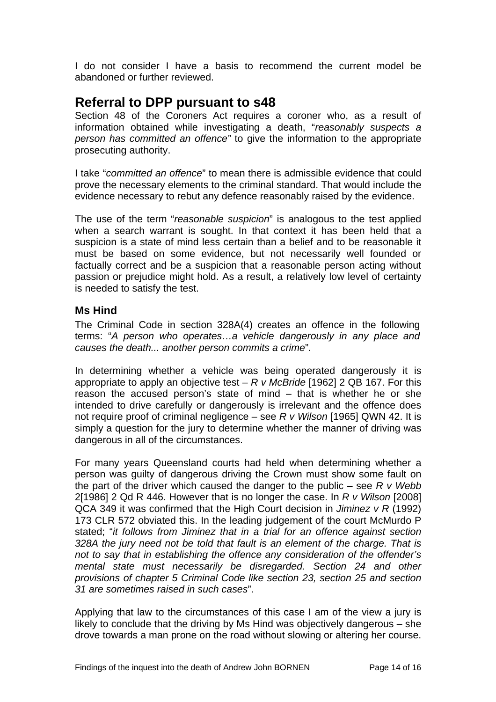<span id="page-15-0"></span>I do not consider I have a basis to recommend the current model be abandoned or further reviewed.

# **Referral to DPP pursuant to s48**

Section 48 of the Coroners Act requires a coroner who, as a result of information obtained while investigating a death, "*reasonably suspects a person has committed an offence"* to give the information to the appropriate prosecuting authority.

I take "*committed an offence*" to mean there is admissible evidence that could prove the necessary elements to the criminal standard. That would include the evidence necessary to rebut any defence reasonably raised by the evidence.

The use of the term "*reasonable suspicion*" is analogous to the test applied when a search warrant is sought. In that context it has been held that a suspicion is a state of mind less certain than a belief and to be reasonable it must be based on some evidence, but not necessarily well founded or factually correct and be a suspicion that a reasonable person acting without passion or prejudice might hold. As a result, a relatively low level of certainty is needed to satisfy the test.

#### **Ms Hind**

The Criminal Code in section 328A(4) creates an offence in the following terms: "*A person who operates…a vehicle dangerously in any place and causes the death... another person commits a crime*".

In determining whether a vehicle was being operated dangerously it is appropriate to apply an objective test – *R v McBride* [1962] 2 QB 167. For this reason the accused person's state of mind – that is whether he or she intended to drive carefully or dangerously is irrelevant and the offence does not require proof of criminal negligence – see *R v Wilson* [1965] QWN 42. It is simply a question for the jury to determine whether the manner of driving was dangerous in all of the circumstances.

For many years Queensland courts had held when determining whether a person was guilty of dangerous driving the Crown must show some fault on the part of the driver which caused the danger to the public – see *R v Webb* 2[1986] 2 Qd R 446. However that is no longer the case. In *R v Wilson* [2008] QCA 349 it was confirmed that the High Court decision in *Jiminez v R* (1992) 173 CLR 572 obviated this. In the leading judgement of the court McMurdo P stated; "*it follows from Jiminez that in a trial for an offence against section 328A the jury need not be told that fault is an element of the charge. That is not to say that in establishing the offence any consideration of the offender's mental state must necessarily be disregarded. Section 24 and other provisions of chapter 5 Criminal Code like section 23, section 25 and section 31 are sometimes raised in such cases*".

Applying that law to the circumstances of this case I am of the view a jury is likely to conclude that the driving by Ms Hind was objectively dangerous – she drove towards a man prone on the road without slowing or altering her course.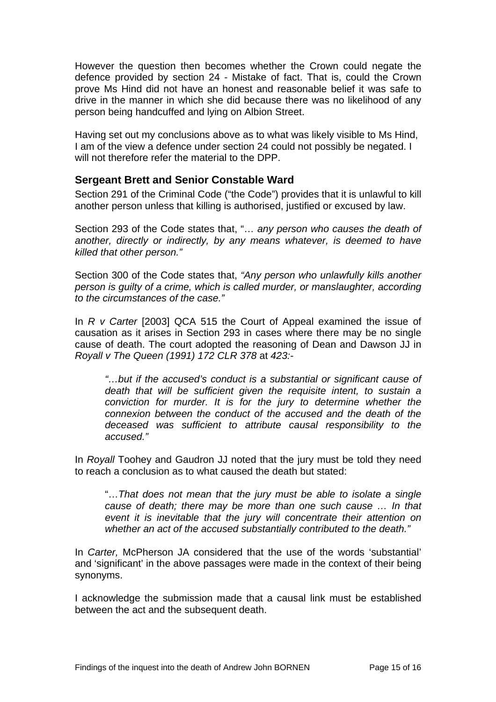<span id="page-16-0"></span>However the question then becomes whether the Crown could negate the defence provided by section 24 - Mistake of fact. That is, could the Crown prove Ms Hind did not have an honest and reasonable belief it was safe to drive in the manner in which she did because there was no likelihood of any person being handcuffed and lying on Albion Street.

Having set out my conclusions above as to what was likely visible to Ms Hind, I am of the view a defence under section 24 could not possibly be negated. I will not therefore refer the material to the DPP.

#### **Sergeant Brett and Senior Constable Ward**

Section 291 of the Criminal Code ("the Code") provides that it is unlawful to kill another person unless that killing is authorised, justified or excused by law.

Section 293 of the Code states that, "… *any person who causes the death of another, directly or indirectly, by any means whatever, is deemed to have killed that other person."*

Section 300 of the Code states that, *"Any person who unlawfully kills another person is guilty of a crime, which is called murder, or manslaughter, according to the circumstances of the case."* 

In *R v Carter* [2003] QCA 515 the Court of Appeal examined the issue of causation as it arises in Section 293 in cases where there may be no single cause of death. The court adopted the reasoning of Dean and Dawson JJ in *Royall v The Queen (1991) 172 CLR 378* at *423:-* 

*"…but if the accused's conduct is a substantial or significant cause of death that will be sufficient given the requisite intent, to sustain a conviction for murder. It is for the jury to determine whether the connexion between the conduct of the accused and the death of the deceased was sufficient to attribute causal responsibility to the accused."* 

In *Royall* Toohey and Gaudron JJ noted that the jury must be told they need to reach a conclusion as to what caused the death but stated:

"…*That does not mean that the jury must be able to isolate a single cause of death; there may be more than one such cause … In that event it is inevitable that the jury will concentrate their attention on whether an act of the accused substantially contributed to the death."* 

In *Carter,* McPherson JA considered that the use of the words 'substantial' and 'significant' in the above passages were made in the context of their being synonyms.

I acknowledge the submission made that a causal link must be established between the act and the subsequent death.